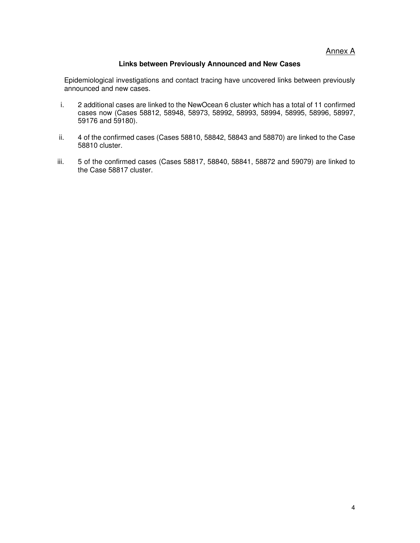Annex A

## **Links between Previously Announced and New Cases**

Epidemiological investigations and contact tracing have uncovered links between previously announced and new cases.

- i. 2 additional cases are linked to the NewOcean 6 cluster which has a total of 11 confirmed cases now (Cases 58812, 58948, 58973, 58992, 58993, 58994, 58995, 58996, 58997, 59176 and 59180).
- ii. 4 of the confirmed cases (Cases 58810, 58842, 58843 and 58870) are linked to the Case 58810 cluster.
- iii. 5 of the confirmed cases (Cases 58817, 58840, 58841, 58872 and 59079) are linked to the Case 58817 cluster.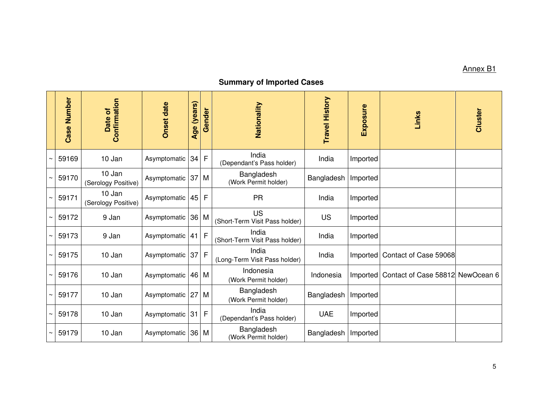## Annex B1

## **Summary of Imported Cases**

| <b>Number</b><br>Case | Confirmation<br>Date of       | <b>Onset date</b> | Age (years)     | Gender       | Nationality                                 | <b>Travel History</b> | Exposure | Links                            | Cluster |
|-----------------------|-------------------------------|-------------------|-----------------|--------------|---------------------------------------------|-----------------------|----------|----------------------------------|---------|
| 59169                 | 10 Jan                        | Asymptomatic      | 34              | $\mathsf{F}$ | India<br>(Dependant's Pass holder)          | India                 | Imported |                                  |         |
| 59170                 | 10 Jan<br>(Serology Positive) | Asymptomatic      | 37              | M            | Bangladesh<br>(Work Permit holder)          | Bangladesh            | Imported |                                  |         |
| 59171                 | 10 Jan<br>(Serology Positive) | Asymptomatic      | 45              | F            | <b>PR</b>                                   | India                 | Imported |                                  |         |
| 59172                 | 9 Jan                         | Asymptomatic      | 36 <sup>°</sup> | M            | <b>US</b><br>(Short-Term Visit Pass holder) | US                    | Imported |                                  |         |
| 59173                 | 9 Jan                         | Asymptomatic      | 41              | $\mathsf{F}$ | India<br>(Short-Term Visit Pass holder)     | India                 | Imported |                                  |         |
| 59175                 | 10 Jan                        | Asymptomatic      | 37              | $\mathsf{F}$ | India<br>(Long-Term Visit Pass holder)      | India                 | Imported | Contact of Case 59068            |         |
| 59176                 | 10 Jan                        | Asymptomatic      |                 | 46 M         | Indonesia<br>(Work Permit holder)           | Indonesia             | Imported | Contact of Case 58812 NewOcean 6 |         |
| 59177                 | 10 Jan                        | Asymptomatic      | 27              | M            | Bangladesh<br>(Work Permit holder)          | Bangladesh            | Imported |                                  |         |
| 59178                 | 10 Jan                        | Asymptomatic      | 31              | $\mathsf F$  | India<br>(Dependant's Pass holder)          | <b>UAE</b>            | Imported |                                  |         |
| 59179                 | 10 Jan                        | Asymptomatic      |                 | 36 M         | Bangladesh<br>(Work Permit holder)          | Bangladesh            | Imported |                                  |         |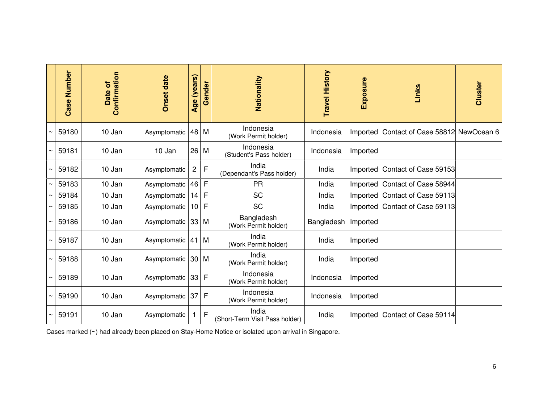| Number<br>Case | Confirmation<br>Date of | <b>Onset date</b> | Age (years)     | Gender       | Nationality                             | <b>Travel History</b> | Exposure | Links                            | Cluster |
|----------------|-------------------------|-------------------|-----------------|--------------|-----------------------------------------|-----------------------|----------|----------------------------------|---------|
| 59180          | 10 Jan                  | Asymptomatic      | 48              | M            | Indonesia<br>(Work Permit holder)       | Indonesia             | Imported | Contact of Case 58812 NewOcean 6 |         |
| 59181          | 10 Jan                  | 10 Jan            | 26              | M            | Indonesia<br>(Student's Pass holder)    | Indonesia             | Imported |                                  |         |
| 59182          | 10 Jan                  | Asymptomatic      | $\overline{c}$  | $\mathsf F$  | India<br>(Dependant's Pass holder)      | India                 | Imported | Contact of Case 59153            |         |
| 59183          | 10 Jan                  | Asymptomatic      | 46              | F            | <b>PR</b>                               | India                 | Imported | Contact of Case 58944            |         |
| 59184          | 10 Jan                  | Asymptomatic      | 14              | F            | <b>SC</b>                               | India                 | Imported | Contact of Case 59113            |         |
| 59185          | 10 Jan                  | Asymptomatic      | 10 <sup>1</sup> | F            | <b>SC</b>                               | India                 | Imported | Contact of Case 59113            |         |
| 59186          | 10 Jan                  | Asymptomatic      | 33              | M            | Bangladesh<br>(Work Permit holder)      | Bangladesh            | Imported |                                  |         |
| 59187          | 10 Jan                  | Asymptomatic      | 41              | M            | India<br>(Work Permit holder)           | India                 | Imported |                                  |         |
| 59188          | 10 Jan                  | Asymptomatic      | 30              | M            | India<br>(Work Permit holder)           | India                 | Imported |                                  |         |
| 59189          | 10 Jan                  | Asymptomatic      | 33              | F            | Indonesia<br>(Work Permit holder)       | Indonesia             | Imported |                                  |         |
| 59190          | 10 Jan                  | Asymptomatic      | 37              | $\mathsf{F}$ | Indonesia<br>(Work Permit holder)       | Indonesia             | Imported |                                  |         |
| 59191          | 10 Jan                  | Asymptomatic      | 1               | $\mathsf{F}$ | India<br>(Short-Term Visit Pass holder) | India                 | Imported | Contact of Case 59114            |         |

Cases marked (~) had already been placed on Stay-Home Notice or isolated upon arrival in Singapore.